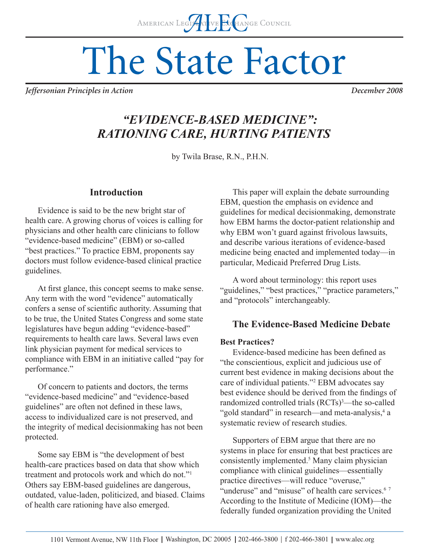# The State Factor

*Jeffersonian Principles in Action December 2008*

## *"EVIDENCE-BASED MEDICINE": RATIONING CARE, HURTING PATIENTS*

by Twila Brase, R.N., P.H.N.

## **Introduction**

Evidence is said to be the new bright star of health care. A growing chorus of voices is calling for physicians and other health care clinicians to follow "evidence-based medicine" (EBM) or so-called "best practices." To practice EBM, proponents say doctors must follow evidence-based clinical practice guidelines.

At first glance, this concept seems to make sense. Any term with the word "evidence" automatically confers a sense of scientific authority. Assuming that to be true, the United States Congress and some state legislatures have begun adding "evidence-based" requirements to health care laws. Several laws even link physician payment for medical services to compliance with EBM in an initiative called "pay for performance."

Of concern to patients and doctors, the terms "evidence-based medicine" and "evidence-based guidelines" are often not defined in these laws, access to individualized care is not preserved, and the integrity of medical decisionmaking has not been protected.

Some say EBM is "the development of best health-care practices based on data that show which treatment and protocols work and which do not."1 Others say EBM-based guidelines are dangerous, outdated, value-laden, politicized, and biased. Claims of health care rationing have also emerged.

This paper will explain the debate surrounding EBM, question the emphasis on evidence and guidelines for medical decisionmaking, demonstrate how EBM harms the doctor-patient relationship and why EBM won't guard against frivolous lawsuits, and describe various iterations of evidence-based medicine being enacted and implemented today—in particular, Medicaid Preferred Drug Lists.

A word about terminology: this report uses "guidelines," "best practices," "practice parameters," and "protocols" interchangeably.

## **The Evidence-Based Medicine Debate**

#### **Best Practices?**

Evidence-based medicine has been defined as "the conscientious, explicit and judicious use of current best evidence in making decisions about the care of individual patients."2 EBM advocates say best evidence should be derived from the findings of randomized controlled trials (RCTs)<sup>3</sup>—the so-called "gold standard" in research—and meta-analysis,<sup>4</sup> a systematic review of research studies.

Supporters of EBM argue that there are no systems in place for ensuring that best practices are consistently implemented.<sup>5</sup> Many claim physician compliance with clinical guidelines—essentially practice directives—will reduce "overuse," "underuse" and "misuse" of health care services.<sup>67</sup> According to the Institute of Medicine (IOM)—the federally funded organization providing the United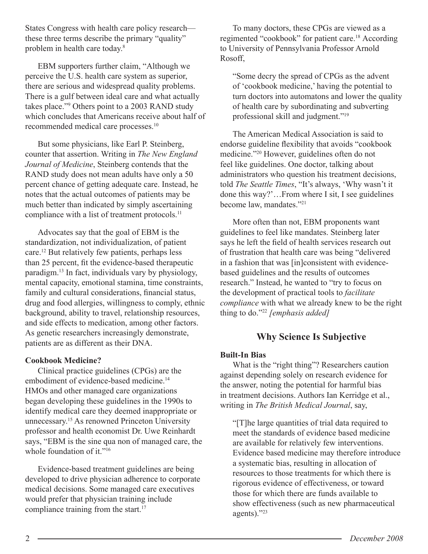States Congress with health care policy research these three terms describe the primary "quality" problem in health care today.8

EBM supporters further claim, "Although we perceive the U.S. health care system as superior, there are serious and widespread quality problems. There is a gulf between ideal care and what actually takes place."9 Others point to a 2003 RAND study which concludes that Americans receive about half of recommended medical care processes.10

But some physicians, like Earl P. Steinberg, counter that assertion. Writing in *The New England Journal of Medicine*, Steinberg contends that the RAND study does not mean adults have only a 50 percent chance of getting adequate care. Instead, he notes that the actual outcomes of patients may be much better than indicated by simply ascertaining compliance with a list of treatment protocols.<sup>11</sup>

Advocates say that the goal of EBM is the standardization, not individualization, of patient care.12 But relatively few patients, perhaps less than 25 percent, fit the evidence-based therapeutic paradigm.13 In fact, individuals vary by physiology, mental capacity, emotional stamina, time constraints, family and cultural considerations, financial status, drug and food allergies, willingness to comply, ethnic background, ability to travel, relationship resources, and side effects to medication, among other factors. As genetic researchers increasingly demonstrate, patients are as different as their DNA.

#### **Cookbook Medicine?**

Clinical practice guidelines (CPGs) are the embodiment of evidence-based medicine.<sup>14</sup> HMOs and other managed care organizations began developing these guidelines in the 1990s to identify medical care they deemed inappropriate or unnecessary.15 As renowned Princeton University professor and health economist Dr. Uwe Reinhardt says, "EBM is the sine qua non of managed care, the whole foundation of it."<sup>16</sup>

Evidence-based treatment guidelines are being developed to drive physician adherence to corporate medical decisions. Some managed care executives would prefer that physician training include compliance training from the start. $17$ 

To many doctors, these CPGs are viewed as a regimented "cookbook" for patient care.18 According to University of Pennsylvania Professor Arnold Rosoff,

"Some decry the spread of CPGs as the advent of 'cookbook medicine,' having the potential to turn doctors into automatons and lower the quality of health care by subordinating and subverting professional skill and judgment."19

The American Medical Association is said to endorse guideline flexibility that avoids "cookbook" medicine."20 However, guidelines often do not feel like guidelines. One doctor, talking about administrators who question his treatment decisions, told *The Seattle Times*, "It's always, 'Why wasn't it done this way?'…From where I sit, I see guidelines become law, mandates."21

More often than not, EBM proponents want guidelines to feel like mandates. Steinberg later says he left the field of health services research out of frustration that health care was being "delivered in a fashion that was [in]consistent with evidencebased guidelines and the results of outcomes research." Instead, he wanted to "try to focus on the development of practical tools to *facilitate compliance* with what we already knew to be the right thing to do."22 *[emphasis added]*

## **Why Science Is Subjective**

#### **Built-In Bias**

What is the "right thing"? Researchers caution against depending solely on research evidence for the answer, noting the potential for harmful bias in treatment decisions. Authors Ian Kerridge et al., writing in *The British Medical Journal*, say,

"[T]he large quantities of trial data required to meet the standards of evidence based medicine are available for relatively few interventions. Evidence based medicine may therefore introduce a systematic bias, resulting in allocation of resources to those treatments for which there is rigorous evidence of effectiveness, or toward those for which there are funds available to show effectiveness (such as new pharmaceutical agents)."23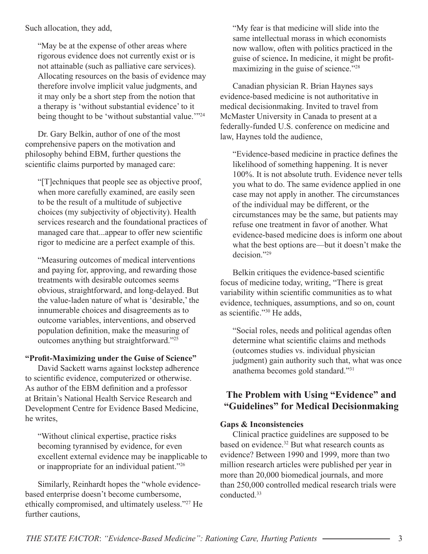Such allocation, they add,

"May be at the expense of other areas where rigorous evidence does not currently exist or is not attainable (such as palliative care services). Allocating resources on the basis of evidence may therefore involve implicit value judgments, and it may only be a short step from the notion that a therapy is 'without substantial evidence' to it being thought to be 'without substantial value.'"<sup>24</sup>

Dr. Gary Belkin, author of one of the most comprehensive papers on the motivation and philosophy behind EBM, further questions the scientific claims purported by managed care:

"[T]echniques that people see as objective proof, when more carefully examined, are easily seen to be the result of a multitude of subjective choices (my subjectivity of objectivity). Health services research and the foundational practices of managed care that...appear to offer new scientific rigor to medicine are a perfect example of this.

"Measuring outcomes of medical interventions and paying for, approving, and rewarding those treatments with desirable outcomes seems obvious, straightforward, and long-delayed. But the value-laden nature of what is 'desirable,' the innumerable choices and disagreements as to outcome variables, interventions, and observed population definition, make the measuring of outcomes anything but straightforward."25

#### "Profit-Maximizing under the Guise of Science"

David Sackett warns against lockstep adherence to scientific evidence, computerized or otherwise. As author of the EBM definition and a professor at Britain's National Health Service Research and Development Centre for Evidence Based Medicine, he writes,

"Without clinical expertise, practice risks becoming tyrannised by evidence, for even excellent external evidence may be inapplicable to or inappropriate for an individual patient."26

Similarly, Reinhardt hopes the "whole evidencebased enterprise doesn't become cumbersome, ethically compromised, and ultimately useless."27 He further cautions,

"My fear is that medicine will slide into the same intellectual morass in which economists now wallow, often with politics practiced in the guise of science. In medicine, it might be profitmaximizing in the guise of science."28

Canadian physician R. Brian Haynes says evidence-based medicine is not authoritative in medical decisionmaking. Invited to travel from McMaster University in Canada to present at a federally-funded U.S. conference on medicine and law, Haynes told the audience,

"Evidence-based medicine in practice defines the likelihood of something happening. It is never 100%. It is not absolute truth. Evidence never tells you what to do. The same evidence applied in one case may not apply in another. The circumstances of the individual may be different, or the circumstances may be the same, but patients may refuse one treatment in favor of another. What evidence-based medicine does is inform one about what the best options are—but it doesn't make the decision."29

Belkin critiques the evidence-based scientific focus of medicine today, writing, "There is great variability within scientific communities as to what evidence, techniques, assumptions, and so on, count as scientific."<sup>30</sup> He adds.

"Social roles, needs and political agendas often determine what scientific claims and methods (outcomes studies vs. individual physician judgment) gain authority such that, what was once anathema becomes gold standard."31

## **The Problem with Using "Evidence" and "Guidelines" for Medical Decisionmaking**

#### **Gaps & Inconsistencies**

Clinical practice guidelines are supposed to be based on evidence.<sup>32</sup> But what research counts as evidence? Between 1990 and 1999, more than two million research articles were published per year in more than 20,000 biomedical journals, and more than 250,000 controlled medical research trials were conducted.33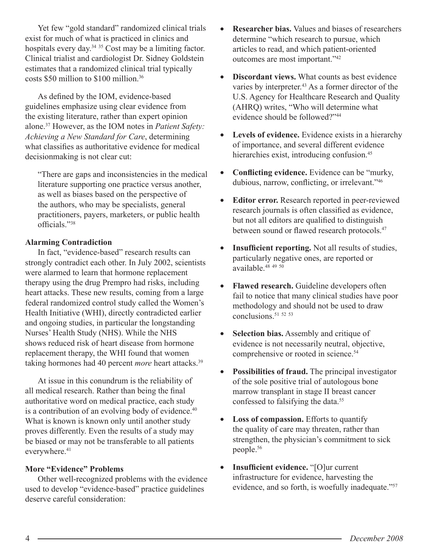Yet few "gold standard" randomized clinical trials exist for much of what is practiced in clinics and hospitals every day.<sup>34 35</sup> Cost may be a limiting factor. Clinical trialist and cardiologist Dr. Sidney Goldstein estimates that a randomized clinical trial typically costs \$50 million to \$100 million.36

As defined by the IOM, evidence-based guidelines emphasize using clear evidence from the existing literature, rather than expert opinion alone.37 However, as the IOM notes in *Patient Safety: Achieving a New Standard for Care*, determining what classifies as authoritative evidence for medical decisionmaking is not clear cut:

"There are gaps and inconsistencies in the medical literature supporting one practice versus another, as well as biases based on the perspective of the authors, who may be specialists, general practitioners, payers, marketers, or public health officials<sup>"38</sup>

#### **Alarming Contradiction**

In fact, "evidence-based" research results can strongly contradict each other. In July 2002, scientists were alarmed to learn that hormone replacement therapy using the drug Prempro had risks, including heart attacks. These new results, coming from a large federal randomized control study called the Women's Health Initiative (WHI), directly contradicted earlier and ongoing studies, in particular the longstanding Nurses' Health Study (NHS). While the NHS shows reduced risk of heart disease from hormone replacement therapy, the WHI found that women taking hormones had 40 percent *more* heart attacks.<sup>39</sup>

At issue in this conundrum is the reliability of all medical research. Rather than being the final authoritative word on medical practice, each study is a contribution of an evolving body of evidence.<sup>40</sup> What is known is known only until another study proves differently. Even the results of a study may be biased or may not be transferable to all patients everywhere.<sup>41</sup>

#### **More "Evidence" Problems**

Other well-recognized problems with the evidence used to develop "evidence-based" practice guidelines deserve careful consideration:

- **Researcher bias.** Values and biases of researchers determine "which research to pursue, which articles to read, and which patient-oriented outcomes are most important."42
- **Discordant views.** What counts as best evidence varies by interpreter.<sup>43</sup> As a former director of the U.S. Agency for Healthcare Research and Quality (AHRQ) writes, "Who will determine what evidence should be followed?"44
- **Levels of evidence.** Evidence exists in a hierarchy of importance, and several different evidence hierarchies exist, introducing confusion.<sup>45</sup>
- Conflicting evidence. Evidence can be "murky, dubious, narrow, conflicting, or irrelevant."<sup>46</sup>
- **Editor error.** Research reported in peer-reviewed research journals is often classified as evidence, but not all editors are qualified to distinguish between sound or flawed research protocols.<sup>47</sup>
- Insufficient reporting. Not all results of studies, particularly negative ones, are reported or available.48 <sup>49</sup> <sup>50</sup>
- **Flawed research.** Guideline developers often fail to notice that many clinical studies have poor methodology and should not be used to draw conclusions.51 <sup>52</sup> <sup>53</sup>
- **Selection bias.** Assembly and critique of evidence is not necessarily neutral, objective, comprehensive or rooted in science.<sup>54</sup>
- **Possibilities of fraud.** The principal investigator of the sole positive trial of autologous bone marrow transplant in stage II breast cancer confessed to falsifying the data.<sup>55</sup>
- **Loss of compassion.** Efforts to quantify the quality of care may threaten, rather than strengthen, the physician's commitment to sick people.56
- **Insufficient evidence.** "[O]ur current infrastructure for evidence, harvesting the evidence, and so forth, is woefully inadequate."57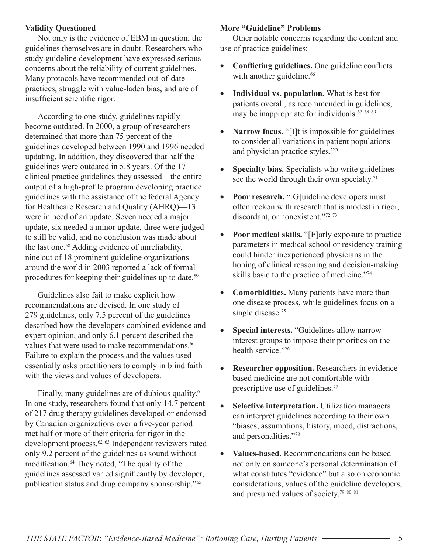#### **Validity Questioned**

Not only is the evidence of EBM in question, the guidelines themselves are in doubt. Researchers who study guideline development have expressed serious concerns about the reliability of current guidelines. Many protocols have recommended out-of-date practices, struggle with value-laden bias, and are of insufficient scientific rigor.

According to one study, guidelines rapidly become outdated. In 2000, a group of researchers determined that more than 75 percent of the guidelines developed between 1990 and 1996 needed updating. In addition, they discovered that half the guidelines were outdated in 5.8 years. Of the 17 clinical practice guidelines they assessed—the entire output of a high-profile program developing practice guidelines with the assistance of the federal Agency for Healthcare Research and Quality (AHRQ)—13 were in need of an update. Seven needed a major update, six needed a minor update, three were judged to still be valid, and no conclusion was made about the last one.58 Adding evidence of unreliability, nine out of 18 prominent guideline organizations around the world in 2003 reported a lack of formal procedures for keeping their guidelines up to date.59

Guidelines also fail to make explicit how recommendations are devised. In one study of 279 guidelines, only 7.5 percent of the guidelines described how the developers combined evidence and expert opinion, and only 6.1 percent described the values that were used to make recommendations.<sup>60</sup> Failure to explain the process and the values used essentially asks practitioners to comply in blind faith with the views and values of developers.

Finally, many guidelines are of dubious quality.<sup>61</sup> In one study, researchers found that only 14.7 percent of 217 drug therapy guidelines developed or endorsed by Canadian organizations over a five-year period met half or more of their criteria for rigor in the development process.<sup>62 63</sup> Independent reviewers rated only 9.2 percent of the guidelines as sound without modification.<sup>64</sup> They noted, "The quality of the guidelines assessed varied significantly by developer, publication status and drug company sponsorship."65

#### **More "Guideline" Problems**

Other notable concerns regarding the content and use of practice guidelines:

- **Conflicting guidelines.** One guideline conflicts with another guideline.<sup>66</sup>
- **Individual vs. population.** What is best for patients overall, as recommended in guidelines, may be inappropriate for individuals.67 <sup>68</sup> <sup>69</sup>
- **Narrow focus.** "[I]t is impossible for guidelines to consider all variations in patient populations and physician practice styles."70
- **Specialty bias.** Specialists who write guidelines see the world through their own specialty.<sup>71</sup>
- **Poor research.** "[G]uideline developers must often reckon with research that is modest in rigor, discordant, or nonexistent."<sup>72</sup><sup>73</sup>
- Poor medical skills. "[E]arly exposure to practice parameters in medical school or residency training could hinder inexperienced physicians in the honing of clinical reasoning and decision-making skills basic to the practice of medicine."74
- **Comorbidities.** Many patients have more than one disease process, while guidelines focus on a single disease.<sup>75</sup>
- **Special interests.** "Guidelines allow narrow interest groups to impose their priorities on the health service."76
- **Researcher opposition.** Researchers in evidencebased medicine are not comfortable with prescriptive use of guidelines.<sup>77</sup>
- **Selective interpretation.** Utilization managers can interpret guidelines according to their own "biases, assumptions, history, mood, distractions, and personalities."78
- **Values-based.** Recommendations can be based not only on someone's personal determination of what constitutes "evidence" but also on economic considerations, values of the guideline developers, and presumed values of society.79 <sup>80</sup> <sup>81</sup>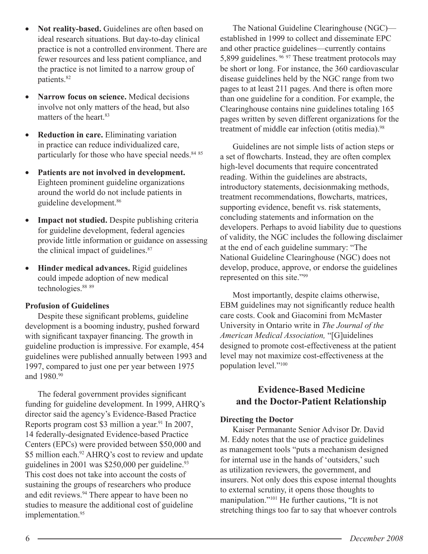- **Not reality-based.** Guidelines are often based on ideal research situations. But day-to-day clinical practice is not a controlled environment. There are fewer resources and less patient compliance, and the practice is not limited to a narrow group of patients.82
- **Narrow focus on science.** Medical decisions involve not only matters of the head, but also matters of the heart.<sup>83</sup>
- **Reduction in care.** Eliminating variation in practice can reduce individualized care, particularly for those who have special needs. $8485$
- **Patients are not involved in development.** Eighteen prominent guideline organizations around the world do not include patients in guideline development.86
- **Impact not studied.** Despite publishing criteria for guideline development, federal agencies provide little information or guidance on assessing the clinical impact of guidelines.<sup>87</sup>
- **Hinder medical advances.** Rigid guidelines could impede adoption of new medical technologies.<sup>88</sup> 89

#### **Profusion of Guidelines**

Despite these significant problems, guideline development is a booming industry, pushed forward with significant taxpayer financing. The growth in guideline production is impressive. For example, 454 guidelines were published annually between 1993 and 1997, compared to just one per year between 1975 and 1980.90

The federal government provides significant funding for guideline development. In 1999, AHRQ's director said the agency's Evidence-Based Practice Reports program cost \$3 million a year.<sup>91</sup> In 2007, 14 federally-designated Evidence-based Practice Centers (EPCs) were provided between \$50,000 and \$5 million each.<sup>92</sup> AHRQ's cost to review and update guidelines in  $2001$  was \$250,000 per guideline.<sup>93</sup> This cost does not take into account the costs of sustaining the groups of researchers who produce and edit reviews.94 There appear to have been no studies to measure the additional cost of guideline implementation.<sup>95</sup>

The National Guideline Clearinghouse (NGC) established in 1999 to collect and disseminate EPC and other practice guidelines—currently contains 5,899 guidelines. 96 97 These treatment protocols may be short or long. For instance, the 360 cardiovascular disease guidelines held by the NGC range from two pages to at least 211 pages. And there is often more than one guideline for a condition. For example, the Clearinghouse contains nine guidelines totaling 165 pages written by seven different organizations for the treatment of middle ear infection (otitis media).<sup>98</sup>

Guidelines are not simple lists of action steps or a set of flowcharts. Instead, they are often complex high-level documents that require concentrated reading. Within the guidelines are abstracts, introductory statements, decisionmaking methods, treatment recommendations, flowcharts, matrices, supporting evidence, benefit vs. risk statements, concluding statements and information on the developers. Perhaps to avoid liability due to questions of validity, the NGC includes the following disclaimer at the end of each guideline summary: "The National Guideline Clearinghouse (NGC) does not develop, produce, approve, or endorse the guidelines represented on this site."99

Most importantly, despite claims otherwise, EBM guidelines may not significantly reduce health care costs. Cook and Giacomini from McMaster University in Ontario write in *The Journal of the American Medical Association,* "[G]uidelines designed to promote cost-effectiveness at the patient level may not maximize cost-effectiveness at the population level."100

## **Evidence-Based Medicine and the Doctor-Patient Relationship**

#### **Directing the Doctor**

Kaiser Permanante Senior Advisor Dr. David M. Eddy notes that the use of practice guidelines as management tools "puts a mechanism designed for internal use in the hands of 'outsiders,' such as utilization reviewers, the government, and insurers. Not only does this expose internal thoughts to external scrutiny, it opens those thoughts to manipulation."101 He further cautions, "It is not stretching things too far to say that whoever controls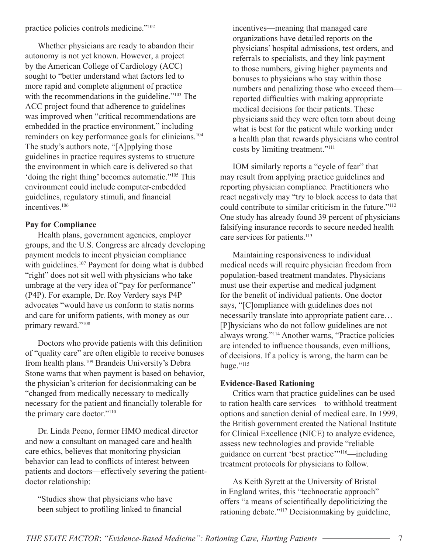practice policies controls medicine."102

Whether physicians are ready to abandon their autonomy is not yet known. However, a project by the American College of Cardiology (ACC) sought to "better understand what factors led to more rapid and complete alignment of practice with the recommendations in the guideline."<sup>103</sup> The ACC project found that adherence to guidelines was improved when "critical recommendations are embedded in the practice environment," including reminders on key performance goals for clinicians.<sup>104</sup> The study's authors note, "[A]pplying those guidelines in practice requires systems to structure the environment in which care is delivered so that 'doing the right thing' becomes automatic."105 This environment could include computer-embedded guidelines, regulatory stimuli, and financial incentives<sup>106</sup>

#### **Pay for Compliance**

Health plans, government agencies, employer groups, and the U.S. Congress are already developing payment models to incent physician compliance with guidelines.<sup>107</sup> Payment for doing what is dubbed "right" does not sit well with physicians who take umbrage at the very idea of "pay for performance" (P4P). For example, Dr. Roy Verdery says P4P advocates "would have us conform to statis norms and care for uniform patients, with money as our primary reward."108

Doctors who provide patients with this definition of "quality care" are often eligible to receive bonuses from health plans.109 Brandeis University's Debra Stone warns that when payment is based on behavior, the physician's criterion for decisionmaking can be "changed from medically necessary to medically necessary for the patient and financially tolerable for the primary care doctor."110

Dr. Linda Peeno, former HMO medical director and now a consultant on managed care and health care ethics, believes that monitoring physician behavior can lead to conflicts of interest between patients and doctors—effectively severing the patientdoctor relationship:

"Studies show that physicians who have been subject to profiling linked to financial incentives—meaning that managed care organizations have detailed reports on the physicians' hospital admissions, test orders, and referrals to specialists, and they link payment to those numbers, giving higher payments and bonuses to physicians who stay within those numbers and penalizing those who exceed them reported difficulties with making appropriate medical decisions for their patients. These physicians said they were often torn about doing what is best for the patient while working under a health plan that rewards physicians who control costs by limiting treatment."111

IOM similarly reports a "cycle of fear" that may result from applying practice guidelines and reporting physician compliance. Practitioners who react negatively may "try to block access to data that could contribute to similar criticism in the future."112 One study has already found 39 percent of physicians falsifying insurance records to secure needed health care services for patients.<sup>113</sup>

Maintaining responsiveness to individual medical needs will require physician freedom from population-based treatment mandates. Physicians must use their expertise and medical judgment for the benefit of individual patients. One doctor says, "[C]ompliance with guidelines does not necessarily translate into appropriate patient care… [P]hysicians who do not follow guidelines are not always wrong."114 Another warns, "Practice policies are intended to influence thousands, even millions, of decisions. If a policy is wrong, the harm can be huge."<sup>115</sup>

#### **Evidence-Based Rationing**

Critics warn that practice guidelines can be used to ration health care services—to withhold treatment options and sanction denial of medical care. In 1999, the British government created the National Institute for Clinical Excellence (NICE) to analyze evidence, assess new technologies and provide "reliable guidance on current 'best practice'"116—including treatment protocols for physicians to follow.

As Keith Syrett at the University of Bristol in England writes, this "technocratic approach" offers "a means of scientifically depoliticizing the rationing debate."117 Decisionmaking by guideline,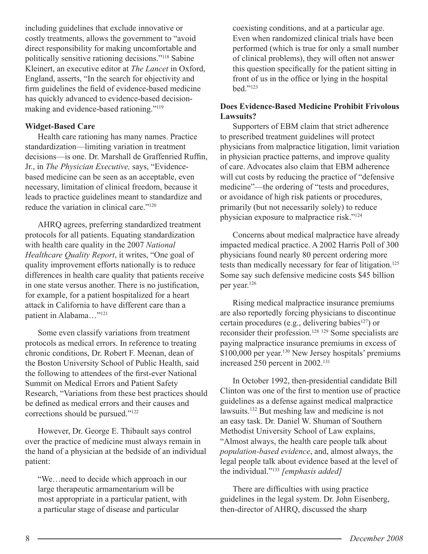including guidelines that exclude innovative or costly treatments, allows the government to "avoid direct responsibility for making uncomfortable and politically sensitive rationing decisions."118 Sabine Kleinert, an executive editor at *The Lancet* in Oxford, England, asserts, "In the search for objectivity and firm guidelines the field of evidence-based medicine has quickly advanced to evidence-based decisionmaking and evidence-based rationing."119

#### **Widget-Based Care**

Health care rationing has many names. Practice standardization—limiting variation in treatment decisions—is one. Dr. Marshall de Graffenried Ruffin, Jr., in *The Physician Executive,* says, "Evidencebased medicine can be seen as an acceptable, even necessary, limitation of clinical freedom, because it leads to practice guidelines meant to standardize and reduce the variation in clinical care."120

AHRQ agrees, preferring standardized treatment protocols for all patients. Equating standardization with health care quality in the 2007 *National Healthcare Quality Report*, it writes, "One goal of quality improvement efforts nationally is to reduce differences in health care quality that patients receive in one state versus another. There is no justification, for example, for a patient hospitalized for a heart attack in California to have different care than a patient in Alabama..."<sup>121</sup>

Some even classify variations from treatment protocols as medical errors. In reference to treating chronic conditions, Dr. Robert F. Meenan, dean of the Boston University School of Public Health, said the following to attendees of the first-ever National Summit on Medical Errors and Patient Safety Research, "Variations from these best practices should be defined as medical errors and their causes and corrections should be pursued."122

However, Dr. George E. Thibault says control over the practice of medicine must always remain in the hand of a physician at the bedside of an individual patient:

"We…need to decide which approach in our large therapeutic armamentarium will be most appropriate in a particular patient, with a particular stage of disease and particular

coexisting conditions, and at a particular age. Even when randomized clinical trials have been performed (which is true for only a small number of clinical problems), they will often not answer this question specifically for the patient sitting in front of us in the office or lying in the hospital bed."123

#### **Does Evidence-Based Medicine Prohibit Frivolous Lawsuits?**

Supporters of EBM claim that strict adherence to prescribed treatment guidelines will protect physicians from malpractice litigation, limit variation in physician practice patterns, and improve quality of care. Advocates also claim that EBM adherence will cut costs by reducing the practice of "defensive medicine"—the ordering of "tests and procedures, or avoidance of high risk patients or procedures, primarily (but not necessarily solely) to reduce physician exposure to malpractice risk."124

Concerns about medical malpractice have already impacted medical practice. A 2002 Harris Poll of 300 physicians found nearly 80 percent ordering more tests than medically necessary for fear of litigation.<sup>125</sup> Some say such defensive medicine costs \$45 billion per year.126

Rising medical malpractice insurance premiums are also reportedly forcing physicians to discontinue certain procedures (e.g., delivering babies<sup>127</sup>) or reconsider their profession.128 129 Some specialists are paying malpractice insurance premiums in excess of \$100,000 per year.<sup>130</sup> New Jersey hospitals' premiums increased 250 percent in 2002.131

In October 1992, then-presidential candidate Bill Clinton was one of the first to mention use of practice guidelines as a defense against medical malpractice lawsuits.132 But meshing law and medicine is not an easy task. Dr. Daniel W. Shuman of Southern Methodist University School of Law explains, "Almost always, the health care people talk about *population-based evidence*, and, almost always, the legal people talk about evidence based at the level of the individual."133 *[emphasis added]*

There are difficulties with using practice guidelines in the legal system. Dr. John Eisenberg, then-director of AHRQ, discussed the sharp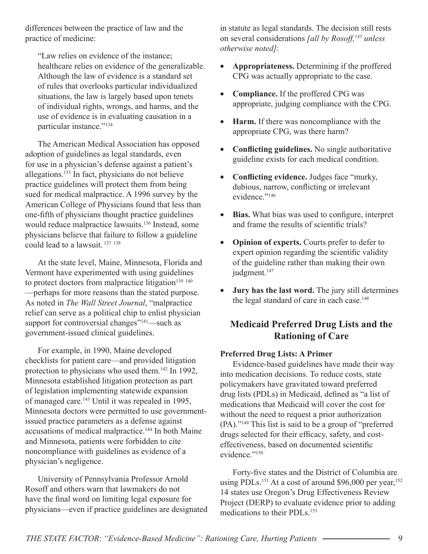differences between the practice of law and the practice of medicine:

"Law relies on evidence of the instance; healthcare relies on evidence of the generalizable. Although the law of evidence is a standard set of rules that overlooks particular individualized situations, the law is largely based upon tenets of individual rights, wrongs, and harms, and the use of evidence is in evaluating causation in a particular instance."134

The American Medical Association has opposed adoption of guidelines as legal standards, even for use in a physician's defense against a patient's allegations.135 In fact, physicians do not believe practice guidelines will protect them from being sued for medical malpractice. A 1996 survey by the American College of Physicians found that less than one-fi fth of physicians thought practice guidelines would reduce malpractice lawsuits.<sup>136</sup> Instead, some physicians believe that failure to follow a guideline could lead to a lawsuit. 137 <sup>138</sup>

At the state level, Maine, Minnesota, Florida and Vermont have experimented with using guidelines to protect doctors from malpractice litigation $139140$ —perhaps for more reasons than the stated purpose. As noted in *The Wall Street Journal*, "malpractice relief can serve as a political chip to enlist physician support for controversial changes"<sup>141</sup>—such as government-issued clinical guidelines.

For example, in 1990, Maine developed checklists for patient care—and provided litigation protection to physicians who used them.<sup>142</sup> In 1992, Minnesota established litigation protection as part of legislation implementing statewide expansion of managed care.143 Until it was repealed in 1995, Minnesota doctors were permitted to use governmentissued practice parameters as a defense against accusations of medical malpractice.144 In both Maine and Minnesota, patients were forbidden to cite noncompliance with guidelines as evidence of a physician's negligence.

University of Pennsylvania Professor Arnold Rosoff and others warn that lawmakers do not have the final word on limiting legal exposure for physicians—even if practice guidelines are designated in statute as legal standards. The decision still rests on several considerations *[all by Rosoff,145 unless otherwise noted]*:

- **Appropriateness.** Determining if the proffered CPG was actually appropriate to the case.
- **Compliance.** If the proffered CPG was appropriate, judging compliance with the CPG.
- **Harm.** If there was noncompliance with the appropriate CPG, was there harm?
- **Conflicting guidelines.** No single authoritative guideline exists for each medical condition.
- Conflicting evidence. Judges face "murky, dubious, narrow, conflicting or irrelevant evidence."146
- Bias. What bias was used to configure, interpret and frame the results of scientific trials?
- **Opinion of experts.** Courts prefer to defer to expert opinion regarding the scientific validity of the guideline rather than making their own judgment.<sup>147</sup>
- **Jury has the last word.** The jury still determines the legal standard of care in each case.<sup>148</sup>

## **Medicaid Preferred Drug Lists and the Rationing of Care**

#### **Preferred Drug Lists: A Primer**

Evidence-based guidelines have made their way into medication decisions. To reduce costs, state policymakers have gravitated toward preferred drug lists (PDLs) in Medicaid, defined as "a list of medications that Medicaid will cover the cost for without the need to request a prior authorization (PA)."149 This list is said to be a group of "preferred drugs selected for their efficacy, safety, and costeffectiveness, based on documented scientific evidence."150

Forty-five states and the District of Columbia are using PDLs.<sup>151</sup> At a cost of around \$96,000 per year,<sup>152</sup> 14 states use Oregon's Drug Effectiveness Review Project (DERP) to evaluate evidence prior to adding medications to their PDLs.153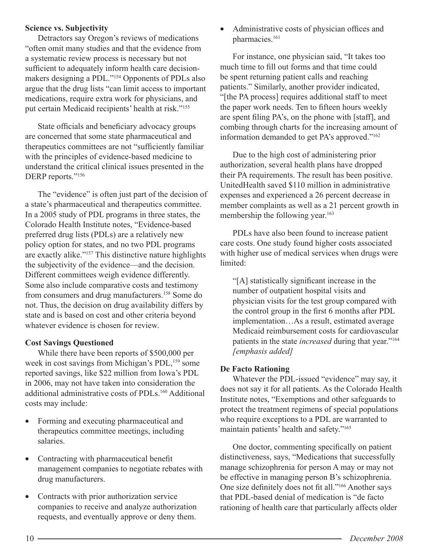#### **Science vs. Subjectivity**

Detractors say Oregon's reviews of medications "often omit many studies and that the evidence from a systematic review process is necessary but not sufficient to adequately inform health care decisionmakers designing a PDL."154 Opponents of PDLs also argue that the drug lists "can limit access to important medications, require extra work for physicians, and put certain Medicaid recipients' health at risk."155

State officials and beneficiary advocacy groups are concerned that some state pharmaceutical and therapeutics committees are not "sufficiently familiar with the principles of evidence-based medicine to understand the critical clinical issues presented in the DERP reports."156

The "evidence" is often just part of the decision of a state's pharmaceutical and therapeutics committee. In a 2005 study of PDL programs in three states, the Colorado Health Institute notes, "Evidence-based preferred drug lists (PDLs) are a relatively new policy option for states, and no two PDL programs are exactly alike."157 This distinctive nature highlights the subjectivity of the evidence—and the decision. Different committees weigh evidence differently. Some also include comparative costs and testimony from consumers and drug manufacturers.158 Some do not. Thus, the decision on drug availability differs by state and is based on cost and other criteria beyond whatever evidence is chosen for review.

#### **Cost Savings Questioned**

While there have been reports of \$500,000 per week in cost savings from Michigan's PDL,<sup>159</sup> some reported savings, like \$22 million from Iowa's PDL in 2006, may not have taken into consideration the additional administrative costs of PDLs.160 Additional costs may include:

- Forming and executing pharmaceutical and therapeutics committee meetings, including salaries.
- Contracting with pharmaceutical benefit management companies to negotiate rebates with drug manufacturers.
- Contracts with prior authorization service companies to receive and analyze authorization requests, and eventually approve or deny them.

Administrative costs of physician offices and pharmacies.<sup>161</sup>

For instance, one physician said, "It takes too much time to fill out forms and that time could be spent returning patient calls and reaching patients." Similarly, another provider indicated, "[the PA process] requires additional staff to meet the paper work needs. Ten to fifteen hours weekly are spent filing PA's, on the phone with [staff], and combing through charts for the increasing amount of information demanded to get PA's approved."162

Due to the high cost of administering prior authorization, several health plans have dropped their PA requirements. The result has been positive. UnitedHealth saved \$110 million in administrative expenses and experienced a 26 percent decrease in member complaints as well as a 21 percent growth in membership the following year.<sup>163</sup>

PDLs have also been found to increase patient care costs. One study found higher costs associated with higher use of medical services when drugs were limited:

"[A] statistically significant increase in the number of outpatient hospital visits and physician visits for the test group compared with the control group in the first 6 months after PDL implementation…As a result, estimated average Medicaid reimbursement costs for cardiovascular patients in the state *increased* during that year."164 *[emphasis added]*

#### **De Facto Rationing**

Whatever the PDL-issued "evidence" may say, it does not say it for all patients. As the Colorado Health Institute notes, "Exemptions and other safeguards to protect the treatment regimens of special populations who require exceptions to a PDL are warranted to maintain patients' health and safety."165

One doctor, commenting specifically on patient distinctiveness, says, "Medications that successfully manage schizophrenia for person A may or may not be effective in managing person B's schizophrenia. One size definitely does not fit all."<sup>166</sup> Another says that PDL-based denial of medication is "de facto rationing of health care that particularly affects older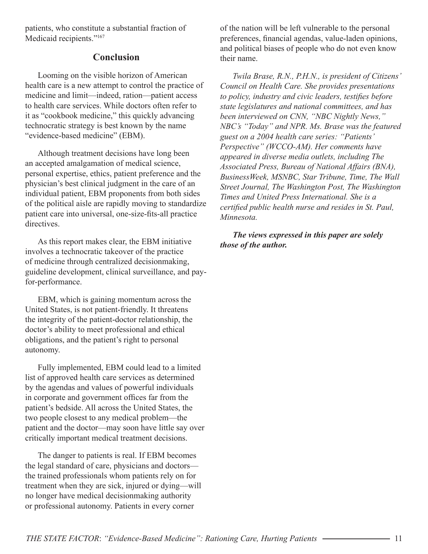patients, who constitute a substantial fraction of Medicaid recipients."<sup>167</sup>

## **Conclusion**

Looming on the visible horizon of American health care is a new attempt to control the practice of medicine and limit—indeed, ration—patient access to health care services. While doctors often refer to it as "cookbook medicine," this quickly advancing technocratic strategy is best known by the name "evidence-based medicine" (EBM).

Although treatment decisions have long been an accepted amalgamation of medical science, personal expertise, ethics, patient preference and the physician's best clinical judgment in the care of an individual patient, EBM proponents from both sides of the political aisle are rapidly moving to standardize patient care into universal, one-size-fits-all practice directives.

As this report makes clear, the EBM initiative involves a technocratic takeover of the practice of medicine through centralized decisionmaking, guideline development, clinical surveillance, and payfor-performance.

EBM, which is gaining momentum across the United States, is not patient-friendly. It threatens the integrity of the patient-doctor relationship, the doctor's ability to meet professional and ethical obligations, and the patient's right to personal autonomy.

Fully implemented, EBM could lead to a limited list of approved health care services as determined by the agendas and values of powerful individuals in corporate and government offices far from the patient's bedside. All across the United States, the two people closest to any medical problem—the patient and the doctor—may soon have little say over critically important medical treatment decisions.

The danger to patients is real. If EBM becomes the legal standard of care, physicians and doctors the trained professionals whom patients rely on for treatment when they are sick, injured or dying—will no longer have medical decisionmaking authority or professional autonomy. Patients in every corner

of the nation will be left vulnerable to the personal preferences, financial agendas, value-laden opinions, and political biases of people who do not even know their name.

*Twila Brase, R.N., P.H.N., is president of Citizens' Council on Health Care. She provides presentations*  to policy, industry and civic leaders, testifies before *state legislatures and national committees, and has been interviewed on CNN, "NBC Nightly News," NBC's "Today" and NPR. Ms. Brase was the featured guest on a 2004 health care series: "Patients' Perspective" (WCCO-AM). Her comments have appeared in diverse media outlets, including The Associated Press, Bureau of National Affairs (BNA), BusinessWeek, MSNBC, Star Tribune, Time, The Wall Street Journal, The Washington Post, The Washington Times and United Press International. She is a certified public health nurse and resides in St. Paul, Minnesota.*

*The views expressed in this paper are solely those of the author.*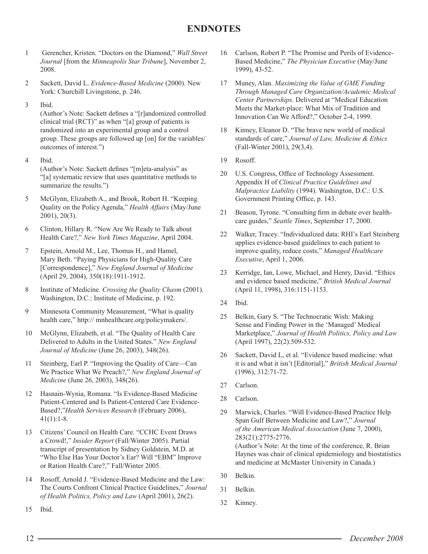## **ENDNOTES**

- 1 Gerencher, Kristen. "Doctors on the Diamond," *Wall Street Journal* [from the *Minneapolis Star Tribune*], November 2, 2008.
- 2 Sackett, David L. *Evidence-Based Medicine* (2000)*.* New York: Churchill Livingstone, p. 246.
- 3 Ibid.

(Author's Note: Sackett defines a "[r]andomized controlled clinical trial (RCT)" as when "[a] group of patients is randomized into an experimental group and a control group. These groups are followed up [on] for the variables/ outcomes of interest.")

- 4 Ibid. (Author's Note: Sackett defines "[m]eta-analysis" as "[a] systematic review that uses quantitative methods to summarize the results.")
- 5 McGlynn, Elizabeth A., and Brook, Robert H. "Keeping Quality on the Policy Agenda," *Health Affairs* (May/June 2001), 20(3).
- 6 Clinton, Hillary R. "Now Are We Ready to Talk about Health Care?," *New York Times Magazine*, April 2004.
- 7 Epstein, Arnold M., Lee, Thomas H., and Hamel, Mary Beth. "Paying Physicians for High-Quality Care [Correspondence]," *New England Journal of Medicine*  (April 29, 2004), 350(18):1911-1912.
- 8 Institute of Medicine. *Crossing the Quality Chasm* (2001). Washington, D.C.: Institute of Medicine, p. 192.
- 9 Minnesota Community Measurement, "What is quality health care," http:// mnhealthcare.org/policymakers/.
- 10 McGlynn, Elizabeth, et al. "The Quality of Health Care Delivered to Adults in the United States." *New England Journal of Medicine* (June 26, 2003), 348(26).
- 11 Steinberg, Earl P. "Improving the Quality of Care—Can We Practice What We Preach?," *New England Journal of Medicine* (June 26, 2003), 348(26).
- 12 Hasnain-Wynia, Romana. "Is Evidence-Based Medicine Patient-Centered and Is Patient-Centered Care Evidence-Based?,"*Health Services Research* (February 2006),  $41(1):1-8.$
- 13 Citizens' Council on Health Care. "CCHC Event Draws a Crowd!," *Insider Report* (Fall/Winter 2005). Partial transcript of presentation by Sidney Goldstein, M.D. at "Who Else Has Your Doctor's Ear? Will "EBM" Improve or Ration Health Care?," Fall/Winter 2005.
- 14 Rosoff, Arnold J. "Evidence-Based Medicine and the Law: The Courts Confront Clinical Practice Guidelines," *Journal of Health Politics, Policy and Law* (April 2001), 26(2).
- 16 Carlson, Robert P. "The Promise and Perils of Evidence-Based Medicine," *The Physician Executive* (May/June 1999), 43-52.
- 17 Muney, Alan. *Maximizing the Value of GME Funding Through Managed Care Organization/Academic Medical Center Partnerships*. Delivered at "Medical Education Meets the Market-place: What Mix of Tradition and Innovation Can We Afford?," October 2-4, 1999.
- 18 Kinney, Eleanor D. "The brave new world of medical standards of care," *Journal of Law, Medicine & Ethics* (Fall-Winter 2001), 29(3,4).
- 19 Rosoff.
- 20 U.S. Congress, Office of Technology Assessment. Appendix H of *Clinical Practice Guidelines and Malpractice Liability* (1994). Washington, D.C.: U.S. Government Printing Office, p. 143.
- 21 Beason, Tyrone. "Consulting firm in debate over healthcare guides," *Seattle Times*, September 17, 2000.
- 22 Walker, Tracey. "Individualized data: RHI's Earl Steinberg applies evidence-based guidelines to each patient to improve quality, reduce costs," *Managed Healthcare Executive*, April 1, 2006.
- 23 Kerridge, Ian, Lowe, Michael, and Henry, David. "Ethics and evidence based medicine," *British Medical Journal*  (April 11, 1998), 316:1151-1153.
- 24 Ibid.
- 25 Belkin, Gary S. "The Technocratic Wish: Making Sense and Finding Power in the 'Managed' Medical Marketplace," *Journal of Health Politics, Policy and Law* (April 1997), 22(2):509-532.
- 26 Sackett, David L, et al. "Evidence based medicine: what it is and what it isn't [Editorial]," *British Medical Journal* (1996), 312:71-72.
- 27 Carlson.
- 28 Carlson.
- 29 Marwick, Charles. "Will Evidence-Based Practice Help Span Gulf Between Medicine and Law?," *Journal of the American Medical Association* (June 7, 2000), 283(21):2775-2776. (Author's Note: At the time of the conference, R. Brian Haynes was chair of clinical epidemiology and biostatistics and medicine at McMaster University in Canada.)
- 30 Belkin.
- 31 Belkin.
- 32 Kinney.

15 Ibid.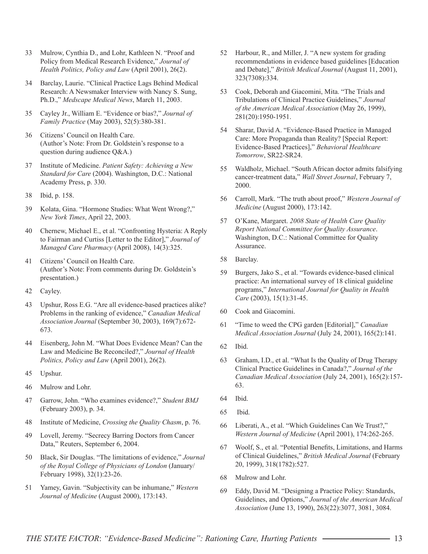- 33 Mulrow, Cynthia D., and Lohr, Kathleen N. "Proof and Policy from Medical Research Evidence," *Journal of Health Politics, Policy and Law* (April 2001), 26(2).
- 34 Barclay, Laurie. "Clinical Practice Lags Behind Medical Research: A Newsmaker Interview with Nancy S. Sung, Ph.D.," *Medscape Medical News*, March 11, 2003.
- 35 Cayley Jr., William E. "Evidence or bias?," *Journal of Family Practice* (May 2003), 52(5):380-381.
- 36 Citizens' Council on Health Care. (Author's Note: From Dr. Goldstein's response to a question during audience Q&A.)
- 37 Institute of Medicine. *Patient Safety: Achieving a New Standard for Care* (2004). Washington, D.C.: National Academy Press, p. 330.
- 38 Ibid, p. 158.
- 39 Kolata, Gina. "Hormone Studies: What Went Wrong?," *New York Times*, April 22, 2003.
- 40 Chernew, Michael E., et al. "Confronting Hysteria: A Reply to Fairman and Curtiss [Letter to the Editor]," *Journal of Managed Care Pharmacy* (April 2008), 14(3):325.
- 41 Citizens' Council on Health Care. (Author's Note: From comments during Dr. Goldstein's presentation.)
- 42 Cayley.
- 43 Upshur, Ross E.G. "Are all evidence-based practices alike? Problems in the ranking of evidence," *Canadian Medical Association Journal* (September 30, 2003), 169(7):672- 673.
- 44 Eisenberg, John M. "What Does Evidence Mean? Can the Law and Medicine Be Reconciled?," *Journal of Health Politics, Policy and Law* (April 2001), 26(2).
- 45 Upshur.
- 46 Mulrow and Lohr.
- 47 Garrow, John. "Who examines evidence?," *Student BMJ* (February 2003), p. 34.
- 48 Institute of Medicine, *Crossing the Quality Chasm*, p. 76.
- 49 Lovell, Jeremy. "Secrecy Barring Doctors from Cancer Data," Reuters, September 6, 2004.
- 50 Black, Sir Douglas. "The limitations of evidence," *Journal of the Royal College of Physicians of London* (January/ February 1998), 32(1):23-26.
- 51 Yamey, Gavin. "Subjectivity can be inhumane," *Western Journal of Medicine* (August 2000), 173:143.
- 52 Harbour, R., and Miller, J. "A new system for grading recommendations in evidence based guidelines [Education and Debate]," *British Medical Journal* (August 11, 2001), 323(7308):334.
- 53 Cook, Deborah and Giacomini, Mita. "The Trials and Tribulations of Clinical Practice Guidelines," *Journal of the American Medical Association* (May 26, 1999), 281(20):1950-1951.
- 54 Sharar, David A. "Evidence-Based Practice in Managed Care: More Propaganda than Reality? [Special Report: Evidence-Based Practices]," *Behavioral Healthcare Tomorrow*, SR22-SR24.
- 55 Waldholz, Michael. "South African doctor admits falsifying cancer-treatment data," *Wall Street Journal*, February 7, 2000.
- 56 Carroll, Mark. "The truth about proof," *Western Journal of Medicine* (August 2000), 173:142.
- 57 O'Kane, Margaret. *2008 State of Health Care Quality Report National Committee for Quality Assurance*. Washington, D.C.: National Committee for Quality Assurance.
- 58 Barclay.
- 59 Burgers, Jako S., et al. "Towards evidence-based clinical practice: An international survey of 18 clinical guideline programs," *International Journal for Quality in Health Care* (2003), 15(1):31-45.
- 60 Cook and Giacomini.
- 61 "Time to weed the CPG garden [Editorial]," *Canadian Medical Association Journal* (July 24, 2001), 165(2):141.
- 62 Ibid.
- 63 Graham, I.D., et al. "What Is the Quality of Drug Therapy Clinical Practice Guidelines in Canada?," *Journal of the Canadian Medical Association* (July 24, 2001), 165(2):157- 63.
- 64 Ibid.
- 65 Ibid.
- 66 Liberati, A., et al. "Which Guidelines Can We Trust?," *Western Journal of Medicine* (April 2001), 174:262-265.
- 67 Woolf, S., et al. "Potential Benefits, Limitations, and Harms of Clinical Guidelines," *British Medical Journal* (February 20, 1999), 318(1782):527.
- 68 Mulrow and Lohr.
- 69 Eddy, David M. "Designing a Practice Policy: Standards, Guidelines, and Options," *Journal of the American Medical Association* (June 13, 1990), 263(22):3077, 3081, 3084.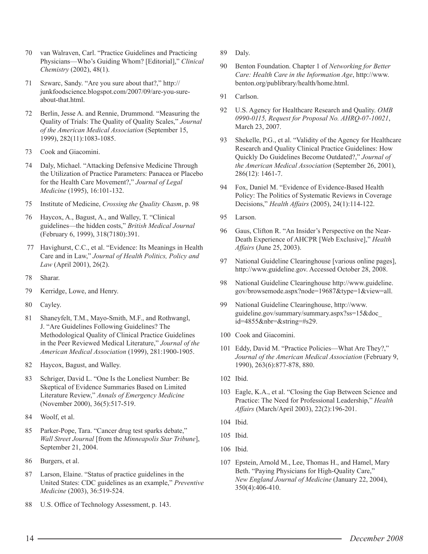- 70 van Walraven, Carl. "Practice Guidelines and Practicing Physicians—Who's Guiding Whom? [Editorial]," *Clinical Chemistry* (2002), 48(1).
- 71 Szwarc, Sandy. "Are you sure about that?," http:// junkfoodscience.blogspot.com/2007/09/are-you-sureabout-that.html.
- 72 Berlin, Jesse A. and Rennie, Drummond. "Measuring the Quality of Trials: The Quality of Quality Scales," *Journal of the American Medical Association* (September 15, 1999), 282(11):1083-1085.
- 73 Cook and Giacomini.
- 74 Daly, Michael. "Attacking Defensive Medicine Through the Utilization of Practice Parameters: Panacea or Placebo for the Health Care Movement?," *Journal of Legal Medicine* (1995), 16:101-132.
- 75 Institute of Medicine, *Crossing the Quality Chasm*, p. 98
- 76 Haycox, A., Bagust, A., and Walley, T. "Clinical guidelines—the hidden costs," *British Medical Journal* (February 6, 1999), 318(7180):391.
- 77 Havighurst, C.C., et al. "Evidence: Its Meanings in Health Care and in Law," *Journal of Health Politics, Policy and Law* (April 2001), 26(2).
- 78 Sharar.
- 79 Kerridge, Lowe, and Henry.
- 80 Cayley.
- 81 Shaneyfelt, T.M., Mayo-Smith, M.F., and Rothwangl, J. "Are Guidelines Following Guidelines? The Methodological Quality of Clinical Practice Guidelines in the Peer Reviewed Medical Literature," *Journal of the American Medical Association* (1999), 281:1900-1905.
- 82 Haycox, Bagust, and Walley.
- 83 Schriger, David L. "One Is the Loneliest Number: Be Skeptical of Evidence Summaries Based on Limited Literature Review," *Annals of Emergency Medicine* (November 2000), 36(5):517-519.
- 84 Woolf, et al.
- 85 Parker-Pope, Tara. "Cancer drug test sparks debate," *Wall Street Journal* [from the *Minneapolis Star Tribune*], September 21, 2004.
- 86 Burgers, et al.
- 87 Larson, Elaine. "Status of practice guidelines in the United States: CDC guidelines as an example," *Preventive Medicine* (2003), 36:519-524.
- 88 U.S. Office of Technology Assessment, p. 143.
- 89 Daly.
- 90 Benton Foundation. Chapter 1 of *Networking for Better Care: Health Care in the Information Age*, http://www. benton.org/publibrary/health/home.html.
- 91 Carlson.
- 92 U.S. Agency for Healthcare Research and Quality. *OMB 0990-0115, Request for Proposal No. AHRQ-07-10021*, March 23, 2007.
- 93 Shekelle, P.G., et al. "Validity of the Agency for Healthcare Research and Quality Clinical Practice Guidelines: How Quickly Do Guidelines Become Outdated?," *Journal of the American Medical Association* (September 26, 2001), 286(12): 1461-7.
- 94 Fox, Daniel M. "Evidence of Evidence-Based Health Policy: The Politics of Systematic Reviews in Coverage Decisions," *Health Affairs* (2005), 24(1):114-122.
- 95 Larson.
- 96 Gaus, Clifton R. "An Insider's Perspective on the Near-Death Experience of AHCPR [Web Exclusive]," *Health Affairs* (June 25, 2003).
- 97 National Guideline Clearinghouse [various online pages], http://www.guideline.gov. Accessed October 28, 2008.
- 98 National Guideline Clearinghouse http://www.guideline. gov/browsemode.aspx?node=19687&type=1&view=all.
- 99 National Guideline Clearinghouse, http://www. guideline.gov/summary/summary.aspx?ss=15&doc\_ id=4855&nbr=&string=#s29.
- 100 Cook and Giacomini.
- 101 Eddy, David M. "Practice Policies—What Are They?," *Journal of the American Medical Association* (February 9, 1990), 263(6):877-878, 880.
- 102 Ibid.
- 103 Eagle, K.A., et al. "Closing the Gap Between Science and Practice: The Need for Professional Leadership," *Health Affairs* (March/April 2003), 22(2):196-201.
- 104 Ibid.
- 105 Ibid.
- 106 Ibid.
- 107 Epstein, Arnold M., Lee, Thomas H., and Hamel, Mary Beth. "Paying Physicians for High-Quality Care," *New England Journal of Medicine* (January 22, 2004), 350(4):406-410.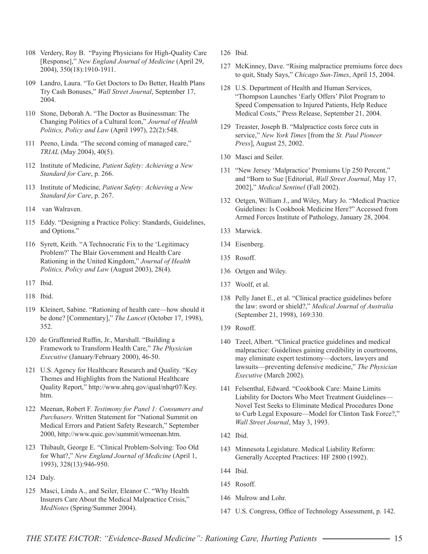- 108 Verdery, Roy B. "Paying Physicians for High-Quality Care [Response]," *New England Journal of Medicine* (April 29, 2004), 350(18):1910-1911.
- 109 Landro, Laura. "To Get Doctors to Do Better, Health Plans Try Cash Bonuses," *Wall Street Journal*, September 17, 2004.
- 110 Stone, Deborah A. "The Doctor as Businessman: The Changing Politics of a Cultural Icon," *Journal of Health Politics, Policy and Law* (April 1997), 22(2):548.
- 111 Peeno, Linda. "The second coming of managed care," *TRIAL* (May 2004), 40(5).
- 112 Institute of Medicine, *Patient Safety: Achieving a New Standard for Care*, p. 266.
- 113 Institute of Medicine, *Patient Safety: Achieving a New Standard for Care*, p. 267.
- 114 van Walraven.
- 115 Eddy. "Designing a Practice Policy: Standards, Guidelines, and Options."
- 116 Syrett, Keith. "A Technocratic Fix to the 'Legitimacy Problem?' The Blair Government and Health Care Rationing in the United Kingdom," *Journal of Health Politics, Policy and Law* (August 2003), 28(4).
- 117 Ibid.
- 118 Ibid.
- 119 Kleinert, Sabine. "Rationing of health care—how should it be done? [Commentary]," *The Lancet* (October 17, 1998), 352.
- 120 de Graffenried Ruffin, Jr., Marshall. "Building a Framework to Transform Health Care," *The Physician Executive* (January/February 2000), 46-50.
- 121 U.S. Agency for Healthcare Research and Quality. "Key Themes and Highlights from the National Healthcare Quality Report," http://www.ahrq.gov/qual/nhqr07/Key. htm.
- 122 Meenan, Robert F. *Testimony for Panel 1: Consumers and Purchasers*. Written Statement for "National Summit on Medical Errors and Patient Safety Research," September 2000, http://www.quic.gov/summit/wmeenan.htm.
- 123 Thibault, George E. "Clinical Problem-Solving: Too Old for What?," *New England Journal of Medicine* (April 1, 1993), 328(13):946-950.
- 124 Daly.
- 125 Masci, Linda A., and Seiler, Eleanor C. "Why Health Insurers Care About the Medical Malpractice Crisis," *MedNotes* (Spring/Summer 2004).
- 126 Ibid.
- 127 McKinney, Dave. "Rising malpractice premiums force docs to quit, Study Says," *Chicago Sun-Times*, April 15, 2004.
- 128 U.S. Department of Health and Human Services, "Thompson Launches 'Early Offers' Pilot Program to Speed Compensation to Injured Patients, Help Reduce Medical Costs," Press Release, September 21, 2004.
- 129 Treaster, Joseph B. "Malpractice costs force cuts in service," *New York Times* [from the *St. Paul Pioneer Press*], August 25, 2002.
- 130 Masci and Seiler.
- 131 "New Jersey 'Malpractice' Premiums Up 250 Percent," and "Born to Sue [Editorial, *Wall Street Journal*, May 17, 2002]," *Medical Sentinel* (Fall 2002).
- 132 Oetgen, William J., and Wiley, Mary Jo. "Medical Practice Guidelines: Is Cookbook Medicine Here?" Accessed from Armed Forces Institute of Pathology, January 28, 2004.
- 133 Marwick.
- 134 Eisenberg.
- 135 Rosoff.
- 136 Oetgen and Wiley.
- 137 Woolf, et al.
- 138 Pelly Janet E., et al. "Clinical practice guidelines before the law: sword or shield?," *Medical Journal of Australia*  (September 21, 1998), 169:330.
- 139 Rosoff.
- 140 Tzeel, Albert. "Clinical practice guidelines and medical malpractice: Guidelines gaining credibility in courtrooms, may eliminate expert testimony—doctors, lawyers and lawsuits—preventing defensive medicine," *The Physician Executive* (March 2002).
- 141 Felsenthal, Edward. "Cookbook Care: Maine Limits Liability for Doctors Who Meet Treatment Guidelines— Novel Test Seeks to Eliminate Medical Procedures Done to Curb Legal Exposure—Model for Clinton Task Force?," *Wall Street Journal*, May 3, 1993.
- 142 Ibid.
- 143 Minnesota Legislature. Medical Liability Reform: Generally Accepted Practices: HF 2800 (1992).
- 144 Ibid.
- 145 Rosoff.
- 146 Mulrow and Lohr.
- 147 U.S. Congress, Office of Technology Assessment, p. 142.